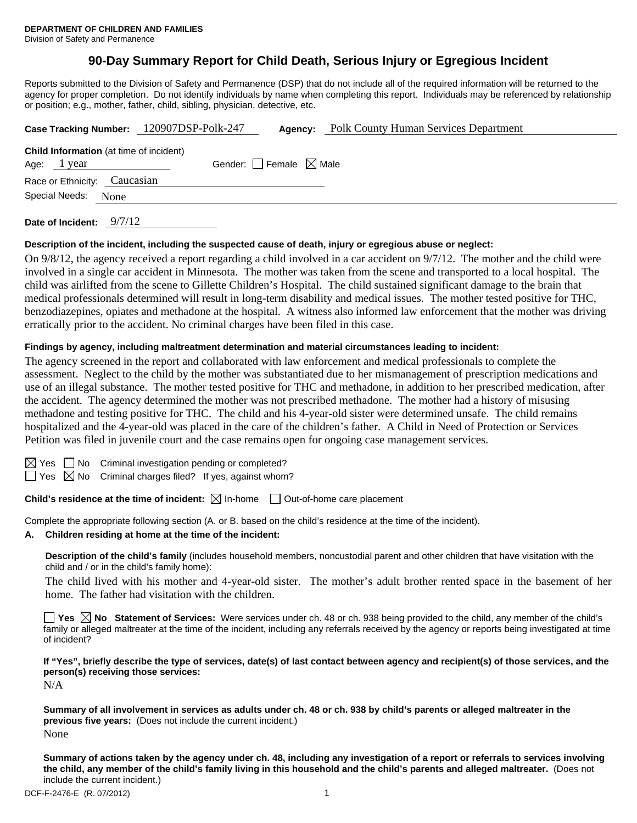# **90-Day Summary Report for Child Death, Serious Injury or Egregious Incident**

Reports submitted to the Division of Safety and Permanence (DSP) that do not include all of the required information will be returned to the agency for proper completion. Do not identify individuals by name when completing this report. Individuals may be referenced by relationship or position; e.g., mother, father, child, sibling, physician, detective, etc.

| Case Tracking Number: 120907DSP-Polk-247 |                                 |  | Agency: | <b>Polk County Human Services Department</b> |  |
|------------------------------------------|---------------------------------|--|---------|----------------------------------------------|--|
| Child Information (at time of incident)  |                                 |  |         |                                              |  |
| Age: 1 year                              | Gender: Female $\boxtimes$ Male |  |         |                                              |  |
| Race or Ethnicity: Caucasian             |                                 |  |         |                                              |  |
| Special Needs: None                      |                                 |  |         |                                              |  |
|                                          |                                 |  |         |                                              |  |

**Date of Incident:** 9/7/12

## **Description of the incident, including the suspected cause of death, injury or egregious abuse or neglect:**

On 9/8/12, the agency received a report regarding a child involved in a car accident on 9/7/12. The mother and the child were involved in a single car accident in Minnesota. The mother was taken from the scene and transported to a local hospital. The child was airlifted from the scene to Gillette Children's Hospital. The child sustained significant damage to the brain that medical professionals determined will result in long-term disability and medical issues. The mother tested positive for THC, benzodiazepines, opiates and methadone at the hospital. A witness also informed law enforcement that the mother was driving erratically prior to the accident. No criminal charges have been filed in this case.

#### **Findings by agency, including maltreatment determination and material circumstances leading to incident:**

The agency screened in the report and collaborated with law enforcement and medical professionals to complete the assessment. Neglect to the child by the mother was substantiated due to her mismanagement of prescription medications and use of an illegal substance. The mother tested positive for THC and methadone, in addition to her prescribed medication, after the accident. The agency determined the mother was not prescribed methadone. The mother had a history of misusing methadone and testing positive for THC. The child and his 4-year-old sister were determined unsafe. The child remains hospitalized and the 4-year-old was placed in the care of the children's father. A Child in Need of Protection or Services Petition was filed in juvenile court and the case remains open for ongoing case management services.

| × |
|---|
|   |

 $\Box$  No Criminal investigation pending or completed?

 $\Box$  Yes  $\boxtimes$  No Criminal charges filed? If yes, against whom?

**Child's residence at the time of incident:**  $\boxtimes$  In-home  $\Box$  Out-of-home care placement

Complete the appropriate following section (A. or B. based on the child's residence at the time of the incident).

## **A. Children residing at home at the time of the incident:**

**Description of the child's family** (includes household members, noncustodial parent and other children that have visitation with the child and / or in the child's family home):

The child lived with his mother and 4-year-old sister. The mother's adult brother rented space in the basement of her home. The father had visitation with the children.

■ Yes **No** Statement of Services: Were services under ch. 48 or ch. 938 being provided to the child, any member of the child's family or alleged maltreater at the time of the incident, including any referrals received by the agency or reports being investigated at time of incident?

**If "Yes", briefly describe the type of services, date(s) of last contact between agency and recipient(s) of those services, and the person(s) receiving those services:** 

N/A

**Summary of all involvement in services as adults under ch. 48 or ch. 938 by child's parents or alleged maltreater in the previous five years:** (Does not include the current incident.) None

**Summary of actions taken by the agency under ch. 48, including any investigation of a report or referrals to services involving the child, any member of the child's family living in this household and the child's parents and alleged maltreater.** (Does not include the current incident.)